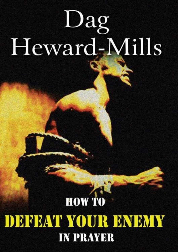# $\log$ Heward-Mills

# **HOW TO** DEFEAT YOUR ENEMY **IN PRAYER**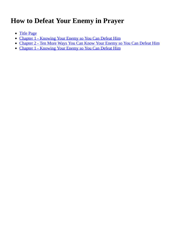# **How to Defeat Your Enemy in Prayer**

- Title Page
- Chapter 1 Knowing Your Enemy so You Can Defeat Him
- Chapter 2 Ten More Ways You Can Know Your Enemy so You Can Defeat Him
- [Chapter](#page-2-0) 1 Knowing Your Enemy so You Can Defeat Him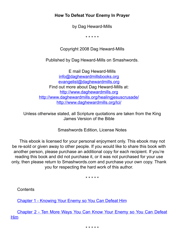#### <span id="page-2-0"></span>**How To Defeat Your Enemy In Prayer**

by Dag Heward-Mills

\* \* \* \* \*

Copyright 2008 Dag Heward-Mills

Published by Dag Heward-Mills on Smashwords.

E mail Dag Heward-Mills info@daghewardmillsbooks.org evangelist@daghewardmills.org Find out more about Dag Heward-Mills at: [http://www.daghewardmills.org](mailto:info@daghewardmillsbooks.org) http://ww[w.daghewardmills.org/healingjesu](mailto:evangelist@daghewardmills.org)scrusade/ h[ttp://www.daghewardmills.org/lc](http://www.daghewardmills.org/)i/

Unless otherwise stated, all Scripture [quotations](http://www.daghewardmills.org/healingjesuscrusade/) are taken from the King James [Version](http://www.daghewardmills.org/lci/) of the Bible

Smashwords Edition, License Notes

This ebook is licensed for your personal enjoyment only. This ebook may not be re-sold or given away to other people. If you would like to share this book with another person, please purchase an additional copy for each recipient. If you're reading this book and did not purchase it, or it was not purchased for your use only, then please return to Smashwords.com and purchase your own copy. Thank you for respecting the hard work of this author.

\* \* \* \* \*

**Contents** 

Chapter 1 - Knowing Your Enemy so You Can Defeat Him

<span id="page-2-1"></span>[Chapter](#page-3-0) 2 - Ten More Ways You Can Know Your Enemy so You Can Defeat Him

[\\*](#page-6-0) \* \* \* \*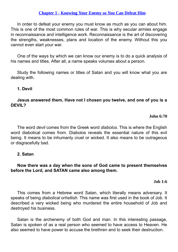# **Chapter 1 - Knowing Your Enemy so You Can Defeat Him**

<span id="page-3-0"></span>In order to defeat your enemy you must know as much as you can about him. This is one of the most [common](#page-2-1) rules of war. This is why secular armies engage in reconnaissance and intelligence work. Reconnaissance is the art of discovering the strengths, weaknesses, plans and location of the enemy. Without this you cannot even start your war.

One of the ways by which we can know our enemy is to do a quick analysis of his names and titles. After all, a name speaks volumes about a person.

Study the following names or titles of Satan and you will know what you are dealing with.

# **1. Devil**

**Jesus answered them, Have not I chosen you twelve, and one of you is a DEVIL?**

# **John 6:70**

The word *devil* comes from the Greek word *diabolos*. This is where the English word diabolical comes from. Diabolos reveals the essential nature of this evil being. It means to be inhumanly cruel or wicked. It also means to be outrageous or disgracefully bad.

# **2. Satan**

# **Now there was a day when the sons of God came to present themselves before the Lord, and SATAN came also among them.**

# **Job 1:6**

This comes from a Hebrew word Satan, which literally means adversary. It speaks of being *diabolical* or*hellish.* This name was first used in the book of Job. It described a very wicked being who murdered the entire household of Job and destroyed his business.

Satan is the archenemy of both God and man. In this interesting passage, Satan is spoken of as a real person who seemed to have access to Heaven. He also seemed to have power to accuse the brethren and to seek their destruction.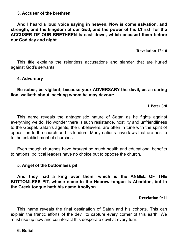# **3. Accuser of the brethren**

**And I heard a loud voice saying in heaven, Now is come salvation, and strength, and the kingdom of our God, and the power of his Christ: for the ACCUSER OF OUR BRETHREN is cast down, which accused them before our God day and night.**

**Revelation 12:10**

This title explains the relentless accusations and slander that are hurled against God's servants.

# **4. Adversary**

**Be sober, be vigilant; because your ADVERSARY the devil, as a roaring lion, walketh about, seeking whom he may devour:**

# **1 Peter 5:8**

This name reveals the antagonistic nature of Satan as he fights against everything we do. No wonder there is such resistance, hostility and unfriendliness to the Gospel. Satan's agents, the unbelievers, are often in tune with the spirit of opposition to the church and its leaders. Many nations have laws that are hostile to the establishment of churches.

Even though churches have brought so much health and educational benefits to nations, political leaders have no choice but to oppose the church.

# **5. Angel of the bottomless pit**

**And they had a king over them, which is the ANGEL OF THE BOTTOMLESS PIT, whose name in the Hebrew tongue is Abaddon, but in the Greek tongue hath his name Apollyon.**

# **Revelation 9:11**

This name reveals the final destination of Satan and his cohorts. This can explain the frantic efforts of the devil to capture every corner of this earth. We must rise up now and counteract this desperate devil at every turn.

# **6. Belial**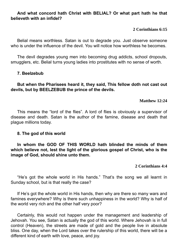# **And what concord hath Christ with BELIAL? Or what part hath he that believeth with an infidel?**

# **2 Corinthians 6:15**

Belial means worthless. Satan is out to degrade you. Just observe someone who is under the influence of the devil. You will notice how worthless he becomes.

The devil degrades young men into becoming drug addicts, school dropouts, smugglers, etc. Belial turns young ladies into prostitutes with no sense of worth.

# **7. Beelzebub**

# **But when the Pharisees heard it, they said, This fellow doth not cast out devils, but by BEELZEBUB the prince of the devils.**

# **Matthew 12:24**

This means the "lord of the flies". A lord of flies is obviously a supervisor of disease and death. Satan is the author of the famine, disease and death that plague millions today.

# **8. The god of this world**

**In whom the GOD OF THIS WORLD hath blinded the minds of them which believe not, lest the light of the glorious gospel of Christ, who is the image of God, should shine unto them.**

# **2 Corinthians 4:4**

"He's got the whole world in His hands." That's the song we all learnt in Sunday school, but is that really the case?

If He's got the whole world in His hands, then why are there so many wars and famines everywhere? Why is there such unhappiness in the world? Why is half of the world very rich and the other half very poor?

Certainly, this would not happen under the management and leadership of Jehovah. You see, Satan is actually the god of this world. Where Jehovah is in full control (Heaven), the streets are made of gold and the people live in absolute bliss. One day, when the Lord takes over the rulership of this world, there will be a different kind of earth with love, peace, and joy.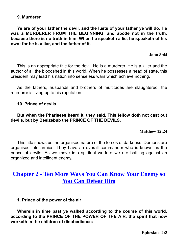#### **9. Murderer**

**Ye are of your father the devil, and the lusts of your father ye will do. He was a MURDERER FROM THE BEGINNING, and abode not in the truth, because there is no truth in him. When he speaketh a lie, he speaketh of his own: for he is a liar, and the father of it.**

**John 8:44**

This is an appropriate title for the devil. He is a murderer. He is a killer and the author of all the bloodshed in this world. When he possesses a head of state, this president may lead his nation into senseless wars which achieve nothing.

As the fathers, husbands and brothers of multitudes are slaughtered, the murderer is living up to his reputation.

# **10. Prince of devils**

# **But when the Pharisees heard it, they said, This fellow doth not cast out devils, but by Beelzebub the PRINCE OF THE DEVILS.**

**Matthew 12:24**

This title shows us the organised nature of the forces of darkness. Demons are organised into armies. They have an overall commander who is known as the prince of devils. As we move into spiritual warfare we are battling against an organized and intelligent enemy.

# **Chapter 2 - Ten More Ways You Can Know Your Enemy so You Can Defeat Him**

# **1. [Prince](#page-2-1) of the power of the air**

<span id="page-6-0"></span>**Wherein in time past ye walked according to the course of this world, according to the PRINCE OF THE POWER OF THE AIR, the spirit that now worketh in the children of disobedience:**

**Ephesians 2:2**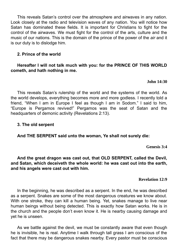This reveals Satan's control over the atmosphere and airwaves in any nation. Look closely at the radio and television waves of any nation. You will notice how Satan has dominated these fields. It is important for Christians to fight for the control of the airwaves. We must fight for the control of the arts, culture and the music of our nations. This is the domain of the prince of the power of the *air* and it is our duty is to dislodge him.

# **2. Prince of the world**

# **Hereafter I will not talk much with you: for the PRINCE OF THIS WORLD cometh, and hath nothing in me.**

# **John 14:30**

This reveals Satan's rulership of the world and the systems of the world. As the world develops, everything becomes more and more godless. I recently told a friend, "When I am in Europe I feel as though I am in Sodom." I said to him, "Europe is Pergamos revived!" Pergamos was the seat of Satan and the headquarters of demonic activity (Revelations 2:13).

# **3. The old serpent**

# **And THE SERPENT said unto the woman, Ye shall not surely die:**

**Genesis 3:4**

**And the great dragon was cast out, that OLD SERPENT, called the Devil, and Satan, which deceiveth the whole world: he was cast out into the earth, and his angels were cast out with him.**

# **Revelation 12:9**

In the beginning, he was described as a serpent. In the end, he was described as a serpent. Snakes are some of the most dangerous creatures we know about. With one stroke, they can kill a human being. Yet, snakes manage to live near human beings without being detected. This is exactly how Satan works. He is in the church and the people don't even know it. He is nearby causing damage and yet he is unseen.

As we battle against the devil, we must be constantly aware that even though he is invisible, he is real. Anytime I walk through tall grass I am conscious of the fact that there may be dangerous snakes nearby. Every pastor must be conscious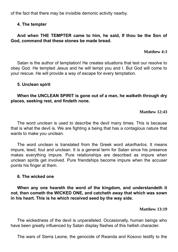of the fact that there may be invisible demonic activity nearby.

# **4. The tempter**

# **And when THE TEMPTER came to him, he said, If thou be the Son of God, command that these stones be made bread.**

# **Matthew 4:3**

Satan is the author of temptation! He creates situations that test our resolve to obey God. He tempted Jesus and he will tempt you and I. But God will come to your rescue. He will provide a way of escape for every temptation.

# **5. Unclean spirit**

**When the UNCLEAN SPIRIT is gone out of a man, he walketh through dry places, seeking rest, and findeth none.**

# **Matthew 12:43**

The word *unclean* is used to describe the devil many times. This is because that is what the devil is. We are fighting a being that has a contagious nature that wants to make you unclean.

The word unclean is translated from the Greek word *akarthartos*. It means impure, lewd, foul and unclean. It is a general term for Satan since his presence makes everything impure. Pure relationships are described as impure when unclean spirits get involved. Pure friendships become impure when the accuser points his finger at them.

# **6. The wicked one**

**When any one heareth the word of the kingdom, and understandeth it not, then cometh the WICKED ONE, and catcheth away that which was sown in his heart. This is he which received seed by the way side.**

# **Matthew 13:19**

The wickedness of the devil is unparalleled. Occasionally, human beings who have been greatly influenced by Satan display flashes of this hellish character.

The wars of Sierra Leone, the genocide of Rwanda and Kosovo testify to the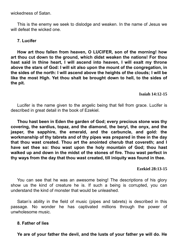wickedness of Satan.

This is the enemy we seek to dislodge and weaken. In the name of Jesus we will defeat the wicked one.

# **7. Lucifer**

**How art thou fallen from heaven, O LUCIFER, son of the morning! how art thou cut down to the ground, which didst weaken the nations! For thou hast said in thine heart, I will ascend into heaven, I will exalt my throne above the stars of God: I will sit also upon the mount of the congregation, in the sides of the north: I will ascend above the heights of the clouds; I will be like the most High. Yet thou shalt be brought down to hell, to the sides of the pit.**

# **Isaiah 14:12-15**

Lucifer is the name given to the angelic being that fell from grace. Lucifer is described in great detail in the book of Ezekiel.

**Thou hast been in Eden the garden of God; every precious stone was thy covering, the sardius, topaz, and the diamond, the beryl, the onyx, and the jasper, the sapphire, the emerald, and the carbuncle, and gold: the workmanship of thy tabrets and of thy pipes was prepared in thee in the day that thou wast created. Thou art the anointed cherub that covereth; and I have set thee so: thou wast upon the holy mountain of God; thou hast walked up and down in the midst of the stones of fire. Thou wast perfect in thy ways from the day that thou wast created, till iniquity was found in thee.**

# **Ezekiel 28:13-15**

You can see that he was an awesome being! The descriptions of his glory show us the kind of creature he is. If such a being is corrupted, you can understand the kind of monster that would be unleashed.

Satan's ability in the field of music (pipes and tabrets) is described in this passage. No wonder he has captivated millions through the power of unwholesome music.

# **8. Father of lies**

**Ye are of your father the devil, and the lusts of your father ye will do. He**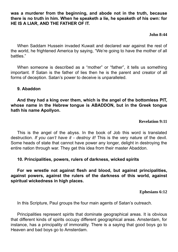**was a murderer from the beginning, and abode not in the truth, because there is no truth in him. When he speaketh a lie, he speaketh of his own: for HE IS A LIAR, AND THE FATHER OF IT.**

# **John 8:44**

When Saddam Hussein invaded Kuwait and declared war against the rest of the world, he frightened America by saying, "We're going to have the mother of all battles."

When someone is described as a "mother" or "father", it tells us something important. If Satan is the father of lies then he is the parent and creator of all forms of deception. Satan's power to deceive is unparalleled.

# **9. Abaddon**

**And they had a king over them, which is the angel of the bottomless PIT, whose name in the Hebrew tongue is ABADDON, but in the Greek tongue hath his name Apollyon.**

# **Revelation 9:11**

This is the angel of the abyss. In the book of Job this word is translated destruction. *If you can't have it - destroy it!* This is the very nature of the devil. Some heads of state that cannot have power any longer, delight in destroying the entire nation through war. They get this idea from their master Abaddon.

# **10. Principalities, powers, rulers of darkness, wicked spirits**

**For we wrestle not against flesh and blood, but against principalities, against powers, against the rulers of the darkness of this world, against spiritual wickedness in high places.**

# **Ephesians 6:12**

In this Scripture, Paul groups the four main agents of Satan's outreach.

Principalities represent spirits that dominate geographical areas. It is obvious that different kinds of spirits occupy different geographical areas. Amsterdam, for instance, has a principality of immorality. There is a saying that good boys go to Heaven and bad boys go to Amsterdam.